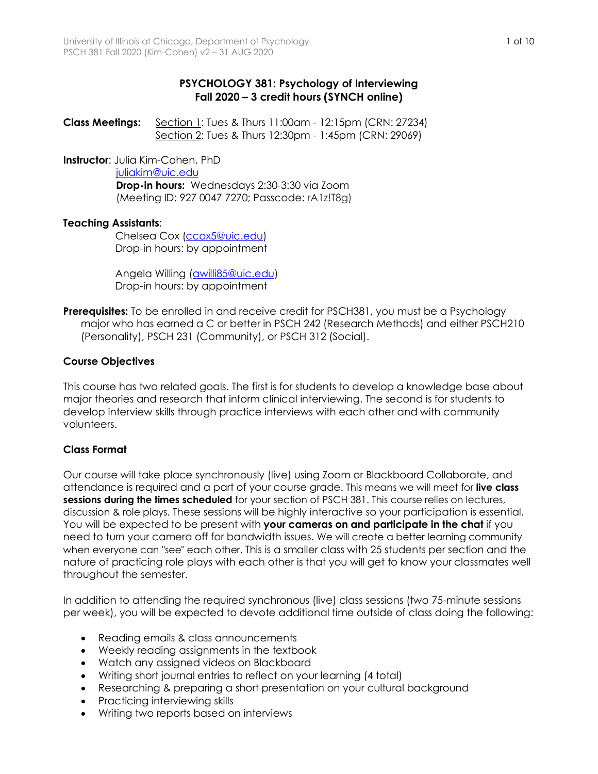# **PSYCHOLOGY 381: Psychology of Interviewing Fall 2020 – 3 credit hours (SYNCH online)**

**Class Meetings:** Section 1: Tues & Thurs 11:00am - 12:15pm (CRN: 27234) Section 2: Tues & Thurs 12:30pm - 1:45pm (CRN: 29069)

**Instructor**: Julia Kim-Cohen, PhD

#### juliakim@uic.edu

**Drop-in hours:** Wednesdays 2:30-3:30 via Zoom (Meeting ID: 927 0047 7270; Passcode: rA1z!T8g)

# **Teaching Assistants**:

Chelsea Cox (ccox5@uic.edu) Drop-in hours: by appointment

 Angela Willing (awilli85@uic.edu) Drop-in hours: by appointment

**Prerequisites:** To be enrolled in and receive credit for PSCH381, you must be a Psychology major who has earned a C or better in PSCH 242 (Research Methods) and either PSCH210 (Personality), PSCH 231 (Community), or PSCH 312 (Social).

# **Course Objectives**

This course has two related goals. The first is for students to develop a knowledge base about major theories and research that inform clinical interviewing. The second is for students to develop interview skills through practice interviews with each other and with community volunteers.

## **Class Format**

Our course will take place synchronously (live) using Zoom or Blackboard Collaborate, and attendance is required and a part of your course grade. This means we will meet for **live class sessions during the times scheduled** for your section of PSCH 381. This course relies on lectures, discussion & role plays. These sessions will be highly interactive so your participation is essential. You will be expected to be present with **your cameras on and participate in the chat** if you need to turn your camera off for bandwidth issues. We will create a better learning community when everyone can "see" each other. This is a smaller class with 25 students per section and the nature of practicing role plays with each other is that you will get to know your classmates well throughout the semester.

In addition to attending the required synchronous (live) class sessions (two 75-minute sessions per week), you will be expected to devote additional time outside of class doing the following:

- Reading emails & class announcements
- Weekly reading assignments in the textbook
- Watch any assigned videos on Blackboard
- Writing short journal entries to reflect on your learning (4 total)
- Researching & preparing a short presentation on your cultural background
- Practicing interviewing skills
- Writing two reports based on interviews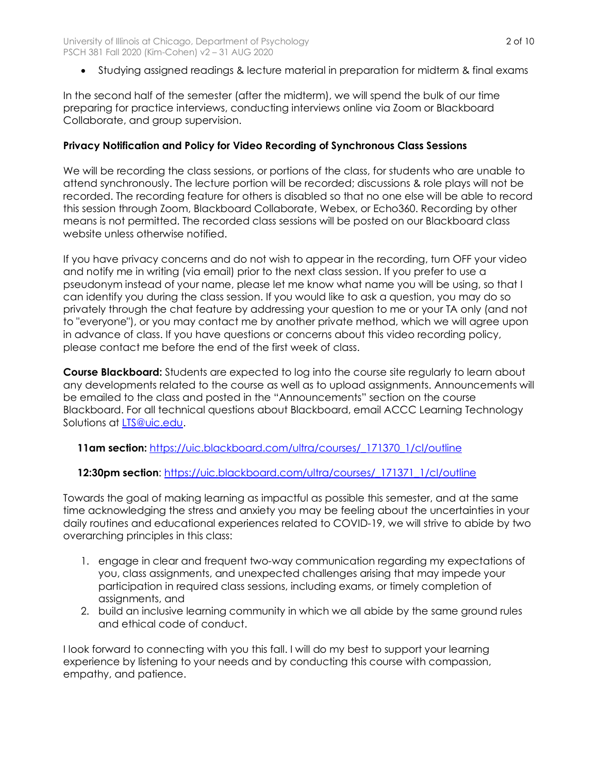• Studying assigned readings & lecture material in preparation for midterm & final exams

In the second half of the semester (after the midterm), we will spend the bulk of our time preparing for practice interviews, conducting interviews online via Zoom or Blackboard Collaborate, and group supervision.

### **Privacy Notification and Policy for Video Recording of Synchronous Class Sessions**

We will be recording the class sessions, or portions of the class, for students who are unable to attend synchronously. The lecture portion will be recorded; discussions & role plays will not be recorded. The recording feature for others is disabled so that no one else will be able to record this session through Zoom, Blackboard Collaborate, Webex, or Echo360. Recording by other means is not permitted. The recorded class sessions will be posted on our Blackboard class website unless otherwise notified.

If you have privacy concerns and do not wish to appear in the recording, turn OFF your video and notify me in writing (via email) prior to the next class session. If you prefer to use a pseudonym instead of your name, please let me know what name you will be using, so that I can identify you during the class session. If you would like to ask a question, you may do so privately through the chat feature by addressing your question to me or your TA only (and not to "everyone"), or you may contact me by another private method, which we will agree upon in advance of class. If you have questions or concerns about this video recording policy, please contact me before the end of the first week of class.

**Course Blackboard:** Students are expected to log into the course site regularly to learn about any developments related to the course as well as to upload assignments. Announcements will be emailed to the class and posted in the "Announcements" section on the course Blackboard. For all technical questions about Blackboard, email ACCC Learning Technology Solutions at LTS@uic.edu.

 **11am section:** https://uic.blackboard.com/ultra/courses/\_171370\_1/cl/outline

### **12:30pm section**: https://uic.blackboard.com/ultra/courses/\_171371\_1/cl/outline

Towards the goal of making learning as impactful as possible this semester, and at the same time acknowledging the stress and anxiety you may be feeling about the uncertainties in your daily routines and educational experiences related to COVID-19, we will strive to abide by two overarching principles in this class:

- 1. engage in clear and frequent two-way communication regarding my expectations of you, class assignments, and unexpected challenges arising that may impede your participation in required class sessions, including exams, or timely completion of assignments, and
- 2. build an inclusive learning community in which we all abide by the same ground rules and ethical code of conduct.

I look forward to connecting with you this fall. I will do my best to support your learning experience by listening to your needs and by conducting this course with compassion, empathy, and patience.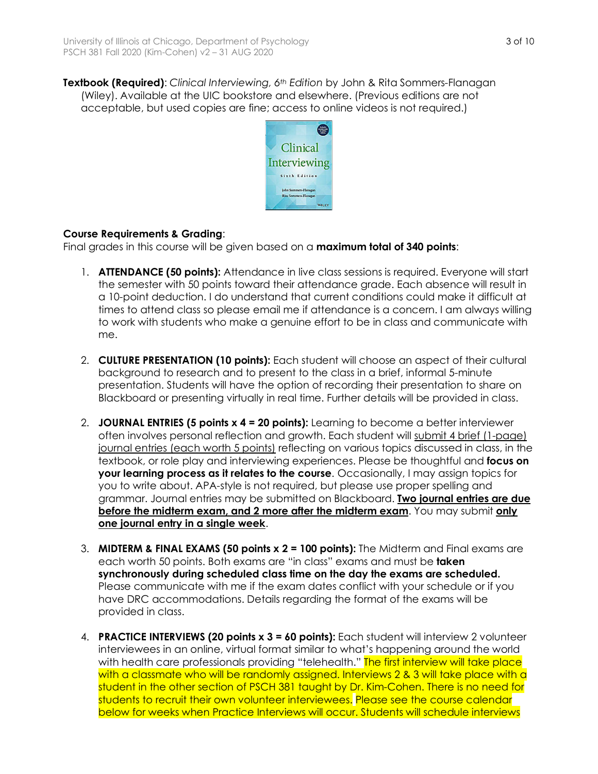**Textbook (Required)**: *Clinical Interviewing, 6th Edition* by John & Rita Sommers-Flanagan (Wiley). Available at the UIC bookstore and elsewhere. (Previous editions are not acceptable, but used copies are fine; access to online videos is not required.)



# **Course Requirements & Grading**:

Final grades in this course will be given based on a **maximum total of 340 points**:

- 1. **ATTENDANCE (50 points):** Attendance in live class sessions is required. Everyone will start the semester with 50 points toward their attendance grade. Each absence will result in a 10-point deduction. I do understand that current conditions could make it difficult at times to attend class so please email me if attendance is a concern. I am always willing to work with students who make a genuine effort to be in class and communicate with me.
- 2. **CULTURE PRESENTATION (10 points):** Each student will choose an aspect of their cultural background to research and to present to the class in a brief, informal 5-minute presentation. Students will have the option of recording their presentation to share on Blackboard or presenting virtually in real time. Further details will be provided in class.
- 2. **JOURNAL ENTRIES (5 points x 4 = 20 points):** Learning to become a better interviewer often involves personal reflection and growth. Each student will submit 4 brief (1-page) journal entries (each worth 5 points) reflecting on various topics discussed in class, in the textbook, or role play and interviewing experiences. Please be thoughtful and **focus on your learning process as it relates to the course**. Occasionally, I may assign topics for you to write about. APA-style is not required, but please use proper spelling and grammar. Journal entries may be submitted on Blackboard. **Two journal entries are due before the midterm exam, and 2 more after the midterm exam**. You may submit **only one journal entry in a single week**.
- 3. **MIDTERM & FINAL EXAMS (50 points x 2 = 100 points):** The Midterm and Final exams are each worth 50 points. Both exams are "in class" exams and must be **taken synchronously during scheduled class time on the day the exams are scheduled.** Please communicate with me if the exam dates conflict with your schedule or if you have DRC accommodations. Details regarding the format of the exams will be provided in class.
- 4. **PRACTICE INTERVIEWS (20 points x 3 = 60 points):** Each student will interview 2 volunteer interviewees in an online, virtual format similar to what's happening around the world with health care professionals providing "telehealth." The first interview will take place with a classmate who will be randomly assigned. Interviews 2 & 3 will take place with a student in the other section of PSCH 381 taught by Dr. Kim-Cohen. There is no need for students to recruit their own volunteer interviewees. Please see the course calendar below for weeks when Practice Interviews will occur. Students will schedule interviews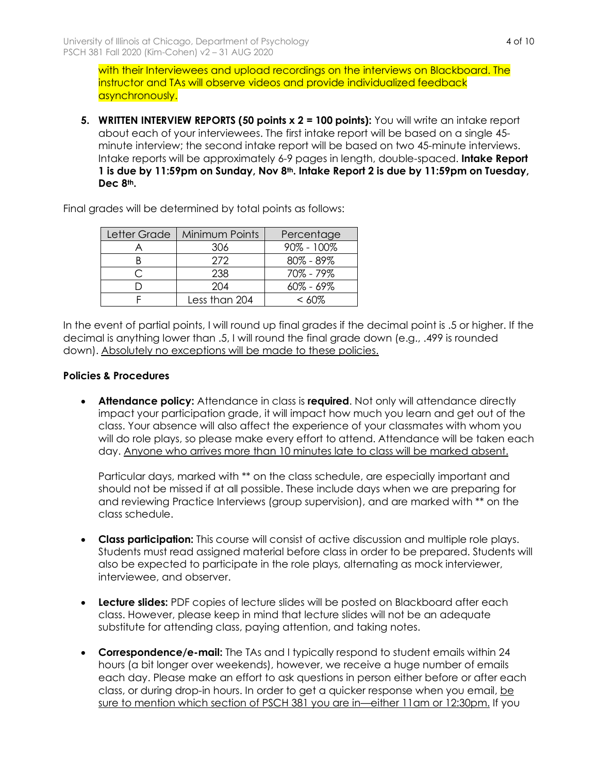with their Interviewees and upload recordings on the interviews on Blackboard. The instructor and TAs will observe videos and provide individualized feedback asynchronously.

**5. WRITTEN INTERVIEW REPORTS (50 points x 2 = 100 points):** You will write an intake report about each of your interviewees. The first intake report will be based on a single 45 minute interview; the second intake report will be based on two 45-minute interviews. Intake reports will be approximately 6-9 pages in length, double-spaced. **Intake Report 1 is due by 11:59pm on Sunday, Nov 8th. Intake Report 2 is due by 11:59pm on Tuesday, Dec 8th.** 

Final grades will be determined by total points as follows:

| Letter Grade | <b>Minimum Points</b> | Percentage     |  |
|--------------|-----------------------|----------------|--|
|              | 306                   | $90\% - 100\%$ |  |
|              | 272                   | $80\% - 89\%$  |  |
|              | 238                   | 70% - 79%      |  |
|              | 204                   | $60\% - 69\%$  |  |
|              | Less than 204         | <  ሪቦ%         |  |

In the event of partial points, I will round up final grades if the decimal point is .5 or higher. If the decimal is anything lower than .5, I will round the final grade down (e.g., .499 is rounded down). Absolutely no exceptions will be made to these policies.

## **Policies & Procedures**

• **Attendance policy:** Attendance in class is **required**. Not only will attendance directly impact your participation grade, it will impact how much you learn and get out of the class. Your absence will also affect the experience of your classmates with whom you will do role plays, so please make every effort to attend. Attendance will be taken each day. Anyone who arrives more than 10 minutes late to class will be marked absent.

Particular days, marked with \*\* on the class schedule, are especially important and should not be missed if at all possible. These include days when we are preparing for and reviewing Practice Interviews (group supervision), and are marked with \*\* on the class schedule.

- **Class participation:** This course will consist of active discussion and multiple role plays. Students must read assigned material before class in order to be prepared. Students will also be expected to participate in the role plays, alternating as mock interviewer, interviewee, and observer.
- **Lecture slides:** PDF copies of lecture slides will be posted on Blackboard after each class. However, please keep in mind that lecture slides will not be an adequate substitute for attending class, paying attention, and taking notes.
- **Correspondence/e-mail:** The TAs and I typically respond to student emails within 24 hours (a bit longer over weekends), however, we receive a huge number of emails each day. Please make an effort to ask questions in person either before or after each class, or during drop-in hours. In order to get a quicker response when you email, be sure to mention which section of PSCH 381 you are in—either 11am or 12:30pm. If you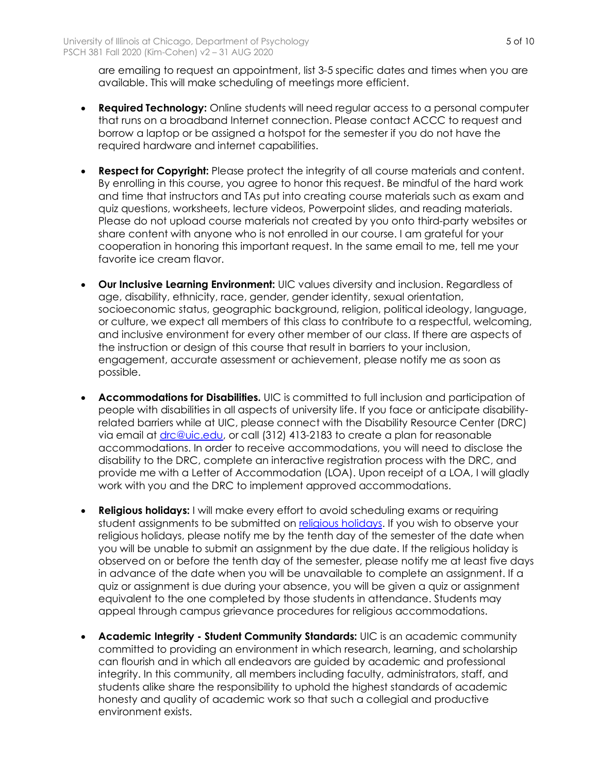are emailing to request an appointment, list 3-5 specific dates and times when you are available. This will make scheduling of meetings more efficient.

- **Required Technology:** Online students will need regular access to a personal computer that runs on a broadband Internet connection. Please contact ACCC to request and borrow a laptop or be assigned a hotspot for the semester if you do not have the required hardware and internet capabilities.
- **Respect for Copyright:** Please protect the integrity of all course materials and content. By enrolling in this course, you agree to honor this request. Be mindful of the hard work and time that instructors and TAs put into creating course materials such as exam and quiz questions, worksheets, lecture videos, Powerpoint slides, and reading materials. Please do not upload course materials not created by you onto third-party websites or share content with anyone who is not enrolled in our course. I am grateful for your cooperation in honoring this important request. In the same email to me, tell me your favorite ice cream flavor.
- **Our Inclusive Learning Environment:** UIC values diversity and inclusion. Regardless of age, disability, ethnicity, race, gender, gender identity, sexual orientation, socioeconomic status, geographic background, religion, political ideology, language, or culture, we expect all members of this class to contribute to a respectful, welcoming, and inclusive environment for every other member of our class. If there are aspects of the instruction or design of this course that result in barriers to your inclusion, engagement, accurate assessment or achievement, please notify me as soon as possible.
- **Accommodations for Disabilities.** UIC is committed to full inclusion and participation of people with disabilities in all aspects of university life. If you face or anticipate disabilityrelated barriers while at UIC, please connect with the Disability Resource Center (DRC) via email at *drc@uic.edu*, or call (312) 413-2183 to create a plan for reasonable accommodations. In order to receive accommodations, you will need to disclose the disability to the DRC, complete an interactive registration process with the DRC, and provide me with a Letter of Accommodation (LOA). Upon receipt of a LOA, I will gladly work with you and the DRC to implement approved accommodations.
- **Religious holidays:** I will make every effort to avoid scheduling exams or requiring student assignments to be submitted on religious holidays. If you wish to observe your religious holidays, please notify me by the tenth day of the semester of the date when you will be unable to submit an assignment by the due date. If the religious holiday is observed on or before the tenth day of the semester, please notify me at least five days in advance of the date when you will be unavailable to complete an assignment. If a quiz or assignment is due during your absence, you will be given a quiz or assignment equivalent to the one completed by those students in attendance. Students may appeal through campus grievance procedures for religious accommodations.
- **Academic Integrity - Student Community Standards:** UIC is an academic community committed to providing an environment in which research, learning, and scholarship can flourish and in which all endeavors are guided by academic and professional integrity. In this community, all members including faculty, administrators, staff, and students alike share the responsibility to uphold the highest standards of academic honesty and quality of academic work so that such a collegial and productive environment exists.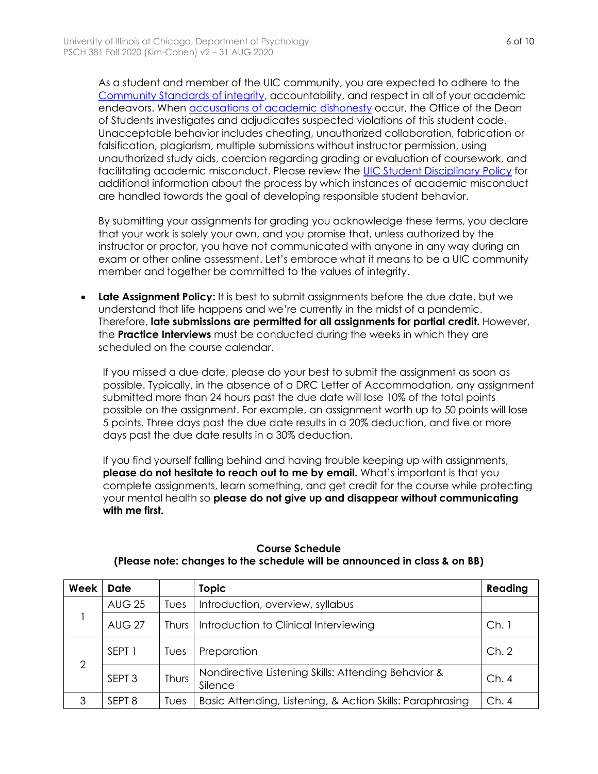As a student and member of the UIC community, you are expected to adhere to the Community Standards of integrity, accountability, and respect in all of your academic endeavors. When accusations of academic dishonesty occur, the Office of the Dean of Students investigates and adjudicates suspected violations of this student code. Unacceptable behavior includes cheating, unauthorized collaboration, fabrication or falsification, plagiarism, multiple submissions without instructor permission, using unauthorized study aids, coercion regarding grading or evaluation of coursework, and facilitating academic misconduct. Please review the UIC Student Disciplinary Policy for additional information about the process by which instances of academic misconduct are handled towards the goal of developing responsible student behavior.

By submitting your assignments for grading you acknowledge these terms, you declare that your work is solely your own, and you promise that, unless authorized by the instructor or proctor, you have not communicated with anyone in any way during an exam or other online assessment. Let's embrace what it means to be a UIC community member and together be committed to the values of integrity.

• **Late Assignment Policy:** It is best to submit assignments before the due date, but we understand that life happens and we're currently in the midst of a pandemic. Therefore, **late submissions are permitted for all assignments for partial credit.** However, the **Practice Interviews** must be conducted during the weeks in which they are scheduled on the course calendar.

If you missed a due date, please do your best to submit the assignment as soon as possible. Typically, in the absence of a DRC Letter of Accommodation, any assignment submitted more than 24 hours past the due date will lose 10% of the total points possible on the assignment. For example, an assignment worth up to 50 points will lose 5 points. Three days past the due date results in a 20% deduction, and five or more days past the due date results in a 30% deduction.

If you find yourself falling behind and having trouble keeping up with assignments, **please do not hesitate to reach out to me by email.** What's important is that you complete assignments, learn something, and get credit for the course while protecting your mental health so **please do not give up and disappear without communicating with me first.**

| Week           | <b>Date</b>       |       | <b>Topic</b>                                                   | Reading |
|----------------|-------------------|-------|----------------------------------------------------------------|---------|
|                | <b>AUG 25</b>     | Tues  | Introduction, overview, syllabus                               |         |
|                | <b>AUG 27</b>     | Thurs | Introduction to Clinical Interviewing                          | Ch.1    |
| $\overline{2}$ | SEPT <sub>1</sub> | Tues  | Preparation                                                    | Ch.2    |
|                | SEPT <sub>3</sub> | Thurs | Nondirective Listening Skills: Attending Behavior &<br>Silence | Ch.4    |
| 3              | SEPT <sub>8</sub> | Tues  | Basic Attending, Listening, & Action Skills: Paraphrasing      |         |

### **Course Schedule (Please note: changes to the schedule will be announced in class & on BB)**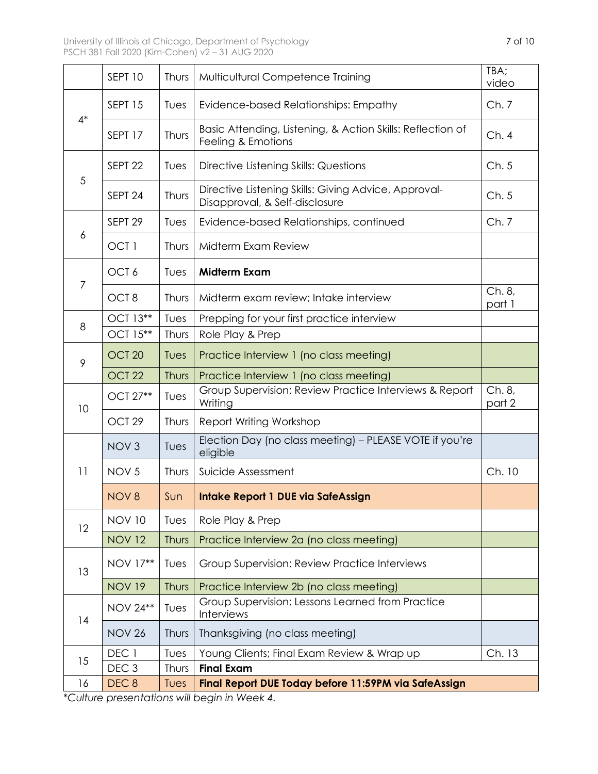$\mathbf{r}$ 

|      | SEPT 10            | Thurs | Multicultural Competence Training                                                      | TBA;<br>video    |  |
|------|--------------------|-------|----------------------------------------------------------------------------------------|------------------|--|
| $4*$ | SEPT 15            | Tues  | Evidence-based Relationships: Empathy                                                  | Ch.7             |  |
|      | SEPT 17            | Thurs | Basic Attending, Listening, & Action Skills: Reflection of<br>Feeling & Emotions       | Ch.4             |  |
| 5    | SEPT <sub>22</sub> | Tues  | Directive Listening Skills: Questions                                                  | Ch.5             |  |
|      | SEPT <sub>24</sub> | Thurs | Directive Listening Skills: Giving Advice, Approval-<br>Disapproval, & Self-disclosure | Ch.5             |  |
| 6    | SEPT <sub>29</sub> | Tues  | Evidence-based Relationships, continued                                                | Ch.7             |  |
|      | OCT <sub>1</sub>   | Thurs | Midterm Exam Review                                                                    |                  |  |
| 7    | OCT 6              | Tues  | <b>Midterm Exam</b>                                                                    |                  |  |
|      | OCT <sub>8</sub>   | Thurs | Midterm exam review; Intake interview                                                  | Ch. 8,<br>part 1 |  |
| 8    | OCT 13**           | Tues  | Prepping for your first practice interview                                             |                  |  |
|      | OCT 15**           | Thurs | Role Play & Prep                                                                       |                  |  |
| 9    | OCT <sub>20</sub>  | Tues  | Practice Interview 1 (no class meeting)                                                |                  |  |
|      | OCT <sub>22</sub>  | Thurs | Practice Interview 1 (no class meeting)                                                |                  |  |
| 10   | OCT 27**           | Tues  | Group Supervision: Review Practice Interviews & Report<br>Writing                      | Ch. 8,<br>part 2 |  |
|      | OCT <sub>29</sub>  | Thurs | Report Writing Workshop                                                                |                  |  |
|      | NOV <sub>3</sub>   | Tues  | Election Day (no class meeting) - PLEASE VOTE if you're<br>eligible                    |                  |  |
| 11   | NOV <sub>5</sub>   | Thurs | Suicide Assessment                                                                     | Ch. 10           |  |
|      | NOV <sub>8</sub>   | Sun   | Intake Report 1 DUE via SafeAssign                                                     |                  |  |
| 12   | <b>NOV 10</b>      | Tues  | Role Play & Prep                                                                       |                  |  |
|      | <b>NOV 12</b>      | Thurs | Practice Interview 2a (no class meeting)                                               |                  |  |
| 13   | NOV 17**           | Tues  | Group Supervision: Review Practice Interviews                                          |                  |  |
|      | <b>NOV 19</b>      | Thurs | Practice Interview 2b (no class meeting)                                               |                  |  |
| 14   | <b>NOV 24**</b>    | Tues  | Group Supervision: Lessons Learned from Practice<br>Interviews                         |                  |  |
|      | <b>NOV 26</b>      | Thurs | Thanksgiving (no class meeting)                                                        |                  |  |
| 15   | DEC 1              | Tues  | Young Clients; Final Exam Review & Wrap up                                             | Ch. 13           |  |
|      | DEC <sub>3</sub>   | Thurs | <b>Final Exam</b>                                                                      |                  |  |
| 16   | DEC <sub>8</sub>   | Tues  | Final Report DUE Today before 11:59PM via SafeAssign                                   |                  |  |

*\*Culture presentations will begin in Week 4.*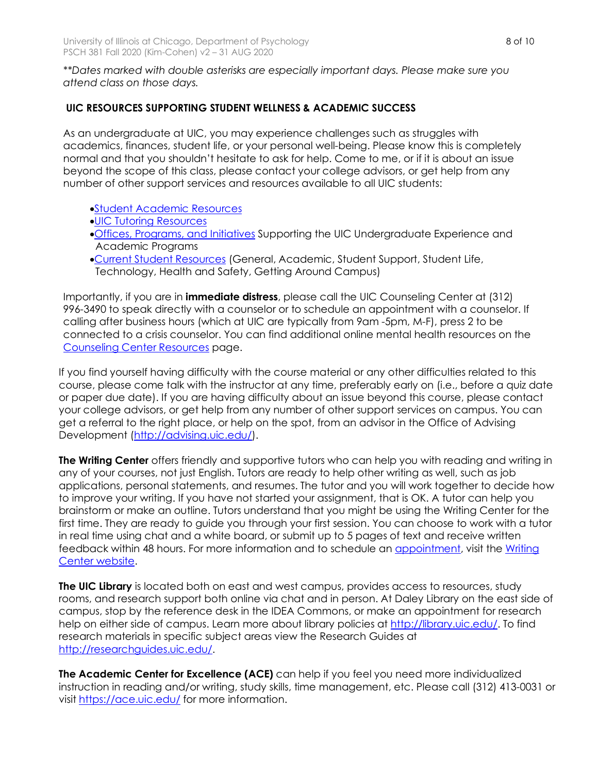*\*\*Dates marked with double asterisks are especially important days. Please make sure you attend class on those days.* 

# **UIC RESOURCES SUPPORTING STUDENT WELLNESS & ACADEMIC SUCCESS**

As an undergraduate at UIC, you may experience challenges such as struggles with academics, finances, student life, or your personal well-being. Please know this is completely normal and that you shouldn't hesitate to ask for help. Come to me, or if it is about an issue beyond the scope of this class, please contact your college advisors, or get help from any number of other support services and resources available to all UIC students:

- •Student Academic Resources
- •UIC Tutoring Resources
- •Offices, Programs, and Initiatives Supporting the UIC Undergraduate Experience and Academic Programs
- •Current Student Resources (General, Academic, Student Support, Student Life, Technology, Health and Safety, Getting Around Campus)

Importantly, if you are in **immediate distress**, please call the UIC Counseling Center at (312) 996-3490 to speak directly with a counselor or to schedule an appointment with a counselor. If calling after business hours (which at UIC are typically from 9am -5pm, M-F), press 2 to be connected to a crisis counselor. You can find additional online mental health resources on the Counseling Center Resources page.

If you find yourself having difficulty with the course material or any other difficulties related to this course, please come talk with the instructor at any time, preferably early on (i.e., before a quiz date or paper due date). If you are having difficulty about an issue beyond this course, please contact your college advisors, or get help from any number of other support services on campus. You can get a referral to the right place, or help on the spot, from an advisor in the Office of Advising Development (http://advising.uic.edu/).

**The Writing Center** offers friendly and supportive tutors who can help you with reading and writing in any of your courses, not just English. Tutors are ready to help other writing as well, such as job applications, personal statements, and resumes. The tutor and you will work together to decide how to improve your writing. If you have not started your assignment, that is OK. A tutor can help you brainstorm or make an outline. Tutors understand that you might be using the Writing Center for the first time. They are ready to guide you through your first session. You can choose to work with a tutor in real time using chat and a white board, or submit up to 5 pages of text and receive written feedback within 48 hours. For more information and to schedule an appointment, visit the Writing Center website.

**The UIC Library** is located both on east and west campus, provides access to resources, study rooms, and research support both online via chat and in person. At Daley Library on the east side of campus, stop by the reference desk in the IDEA Commons, or make an appointment for research help on either side of campus. Learn more about library policies at http://library.uic.edu/. To find research materials in specific subject areas view the Research Guides at http://researchguides.uic.edu/.

**The Academic Center for Excellence (ACE)** can help if you feel you need more individualized instruction in reading and/or writing, study skills, time management, etc. Please call (312) 413-0031 or visit https://ace.uic.edu/ for more information.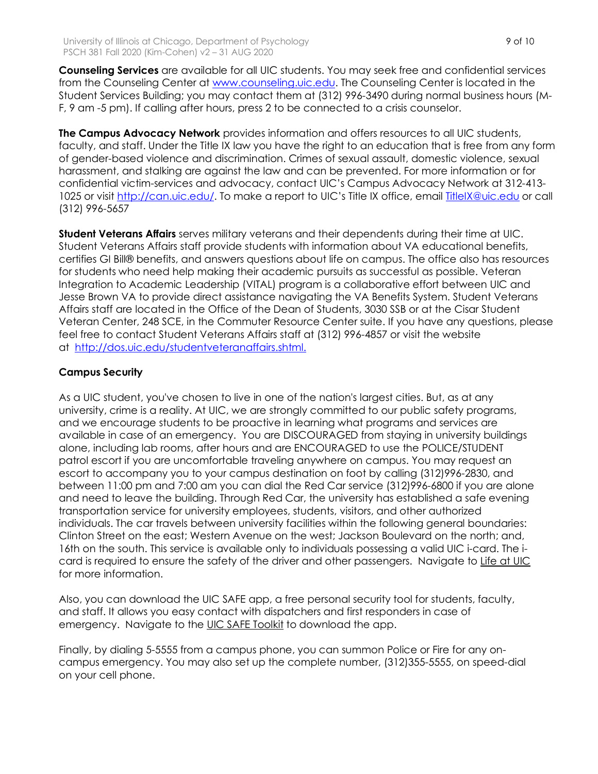**Counseling Services** are available for all UIC students. You may seek free and confidential services from the Counseling Center at www.counseling.uic.edu. The Counseling Center is located in the Student Services Building; you may contact them at (312) 996-3490 during normal business hours (M-F, 9 am -5 pm). If calling after hours, press 2 to be connected to a crisis counselor.

**The Campus Advocacy Network** provides information and offers resources to all UIC students, faculty, and staff. Under the Title IX law you have the right to an education that is free from any form of gender-based violence and discrimination. Crimes of sexual assault, domestic violence, sexual harassment, and stalking are against the law and can be prevented. For more information or for confidential victim-services and advocacy, contact UIC's Campus Advocacy Network at 312-413- 1025 or visit http://can.uic.edu/. To make a report to UIC's Title IX office, email TitleIX@uic.edu or call (312) 996-5657

**Student Veterans Affairs** serves military veterans and their dependents during their time at UIC. Student Veterans Affairs staff provide students with information about VA educational benefits, certifies GI Bill® benefits, and answers questions about life on campus. The office also has resources for students who need help making their academic pursuits as successful as possible. Veteran Integration to Academic Leadership (VITAL) program is a collaborative effort between UIC and Jesse Brown VA to provide direct assistance navigating the VA Benefits System. Student Veterans Affairs staff are located in the Office of the Dean of Students, 3030 SSB or at the Cisar Student Veteran Center, 248 SCE, in the Commuter Resource Center suite. If you have any questions, please feel free to contact Student Veterans Affairs staff at (312) 996-4857 or visit the website at http://dos.uic.edu/studentveteranaffairs.shtml.

# **Campus Security**

As a UIC student, you've chosen to live in one of the nation's largest cities. But, as at any university, crime is a reality. At UIC, we are strongly committed to our public safety programs, and we encourage students to be proactive in learning what programs and services are available in case of an emergency. You are DISCOURAGED from staying in university buildings alone, including lab rooms, after hours and are ENCOURAGED to use the POLICE/STUDENT patrol escort if you are uncomfortable traveling anywhere on campus. You may request an escort to accompany you to your campus destination on foot by calling (312)996-2830, and between 11:00 pm and 7:00 am you can dial the Red Car service (312)996-6800 if you are alone and need to leave the building. Through Red Car, the university has established a safe evening transportation service for university employees, students, visitors, and other authorized individuals. The car travels between university facilities within the following general boundaries: Clinton Street on the east; Western Avenue on the west; Jackson Boulevard on the north; and, 16th on the south. This service is available only to individuals possessing a valid UIC i-card. The icard is required to ensure the safety of the driver and other passengers. Navigate to Life at UIC for more information.

Also, you can download the UIC SAFE app, a free personal security tool for students, faculty, and staff. It allows you easy contact with dispatchers and first responders in case of emergency. Navigate to the UIC SAFE Toolkit to download the app.

Finally, by dialing 5-5555 from a campus phone, you can summon Police or Fire for any oncampus emergency. You may also set up the complete number, (312)355-5555, on speed-dial on your cell phone.